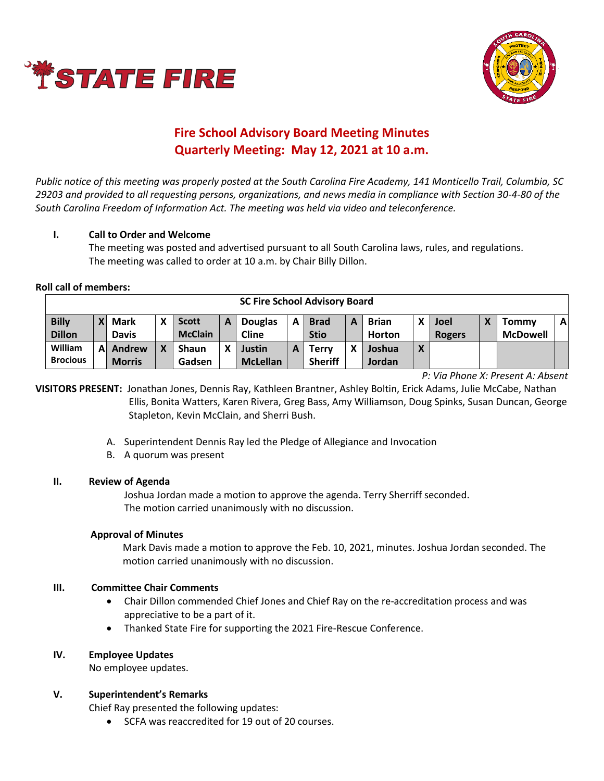



# **Fire School Advisory Board Meeting Minutes Quarterly Meeting: May 12, 2021 at 10 a.m.**

*Public notice of this meeting was properly posted at the South Carolina Fire Academy, 141 Monticello Trail, Columbia, SC 29203 and provided to all requesting persons, organizations, and news media in compliance with Section 30-4-80 of the South Carolina Freedom of Information Act. The meeting was held via video and teleconference.*

## **I. Call to Order and Welcome**

The meeting was posted and advertised pursuant to all South Carolina laws, rules, and regulations. The meeting was called to order at 10 a.m. by Chair Billy Dillon.

## **Roll call of members:**

| <b>SC Fire School Advisory Board</b> |              |               |   |                |   |                 |   |                |   |               |                          |               |  |                 |              |
|--------------------------------------|--------------|---------------|---|----------------|---|-----------------|---|----------------|---|---------------|--------------------------|---------------|--|-----------------|--------------|
| <b>Billy</b>                         | $\mathbf{Y}$ | <b>Mark</b>   | χ | <b>Scott</b>   | А | <b>Douglas</b>  | A | <b>Brad</b>    | A | <b>Brian</b>  |                          | Joel          |  | Tommy           | $\mathbf{A}$ |
| <b>Dillon</b>                        |              | <b>Davis</b>  |   | <b>McClain</b> |   | <b>Cline</b>    |   | <b>Stio</b>    |   | <b>Horton</b> |                          | <b>Rogers</b> |  | <b>McDowell</b> |              |
| William                              | A            | Andrew        | χ | <b>Shaun</b>   | χ | Justin          | А | Terry          | x | Joshua        | $\mathbf v$<br>$\lambda$ |               |  |                 |              |
| <b>Brocious</b>                      |              | <b>Morris</b> |   | Gadsen         |   | <b>McLellan</b> |   | <b>Sheriff</b> |   | Jordan        |                          |               |  |                 |              |

*P: Via Phone X: Present A: Absent*

**VISITORS PRESENT:** Jonathan Jones, Dennis Ray, Kathleen Brantner, Ashley Boltin, Erick Adams, Julie McCabe, Nathan Ellis, Bonita Watters, Karen Rivera, Greg Bass, Amy Williamson, Doug Spinks, Susan Duncan, George Stapleton, Kevin McClain, and Sherri Bush.

- A. Superintendent Dennis Ray led the Pledge of Allegiance and Invocation
- B. A quorum was present

## **II. Review of Agenda**

Joshua Jordan made a motion to approve the agenda. Terry Sherriff seconded. The motion carried unanimously with no discussion.

## **Approval of Minutes**

Mark Davis made a motion to approve the Feb. 10, 2021, minutes. Joshua Jordan seconded. The motion carried unanimously with no discussion.

## **III. Committee Chair Comments**

- Chair Dillon commended Chief Jones and Chief Ray on the re-accreditation process and was appreciative to be a part of it.
- Thanked State Fire for supporting the 2021 Fire-Rescue Conference.

## **IV. Employee Updates**

No employee updates.

## **V. Superintendent's Remarks**

Chief Ray presented the following updates:

• SCFA was reaccredited for 19 out of 20 courses.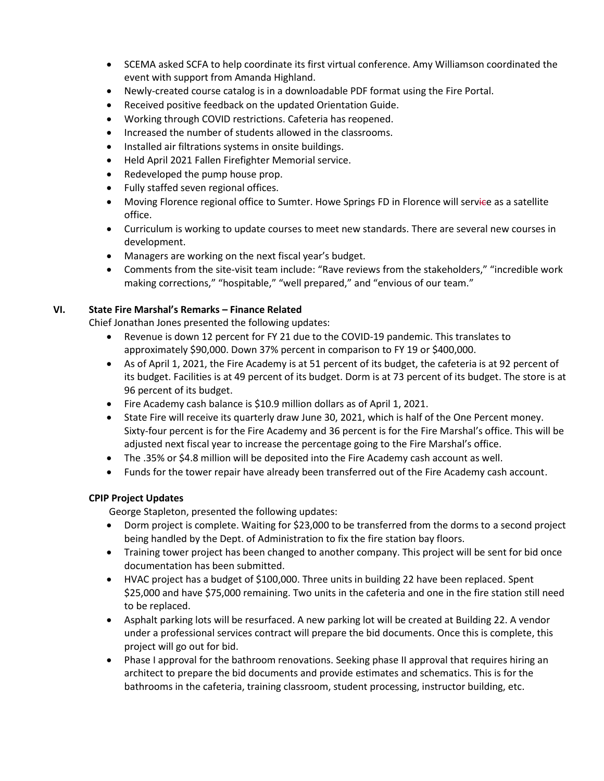- SCEMA asked SCFA to help coordinate its first virtual conference. Amy Williamson coordinated the event with support from Amanda Highland.
- Newly-created course catalog is in a downloadable PDF format using the Fire Portal.
- Received positive feedback on the updated Orientation Guide.
- Working through COVID restrictions. Cafeteria has reopened.
- Increased the number of students allowed in the classrooms.
- Installed air filtrations systems in onsite buildings.
- Held April 2021 Fallen Firefighter Memorial service.
- Redeveloped the pump house prop.
- Fully staffed seven regional offices.
- Moving Florence regional office to Sumter. Howe Springs FD in Florence will service as a satellite office.
- Curriculum is working to update courses to meet new standards. There are several new courses in development.
- Managers are working on the next fiscal year's budget.
- Comments from the site-visit team include: "Rave reviews from the stakeholders," "incredible work making corrections," "hospitable," "well prepared," and "envious of our team."

## **VI. State Fire Marshal's Remarks – Finance Related**

Chief Jonathan Jones presented the following updates:

- Revenue is down 12 percent for FY 21 due to the COVID-19 pandemic. This translates to approximately \$90,000. Down 37% percent in comparison to FY 19 or \$400,000.
- As of April 1, 2021, the Fire Academy is at 51 percent of its budget, the cafeteria is at 92 percent of its budget. Facilities is at 49 percent of its budget. Dorm is at 73 percent of its budget. The store is at 96 percent of its budget.
- Fire Academy cash balance is \$10.9 million dollars as of April 1, 2021.
- State Fire will receive its quarterly draw June 30, 2021, which is half of the One Percent money. Sixty-four percent is for the Fire Academy and 36 percent is for the Fire Marshal's office. This will be adjusted next fiscal year to increase the percentage going to the Fire Marshal's office.
- The .35% or \$4.8 million will be deposited into the Fire Academy cash account as well.
- Funds for the tower repair have already been transferred out of the Fire Academy cash account.

## **CPIP Project Updates**

George Stapleton, presented the following updates:

- Dorm project is complete. Waiting for \$23,000 to be transferred from the dorms to a second project being handled by the Dept. of Administration to fix the fire station bay floors.
- Training tower project has been changed to another company. This project will be sent for bid once documentation has been submitted.
- HVAC project has a budget of \$100,000. Three units in building 22 have been replaced. Spent \$25,000 and have \$75,000 remaining. Two units in the cafeteria and one in the fire station still need to be replaced.
- Asphalt parking lots will be resurfaced. A new parking lot will be created at Building 22. A vendor under a professional services contract will prepare the bid documents. Once this is complete, this project will go out for bid.
- Phase I approval for the bathroom renovations. Seeking phase II approval that requires hiring an architect to prepare the bid documents and provide estimates and schematics. This is for the bathrooms in the cafeteria, training classroom, student processing, instructor building, etc.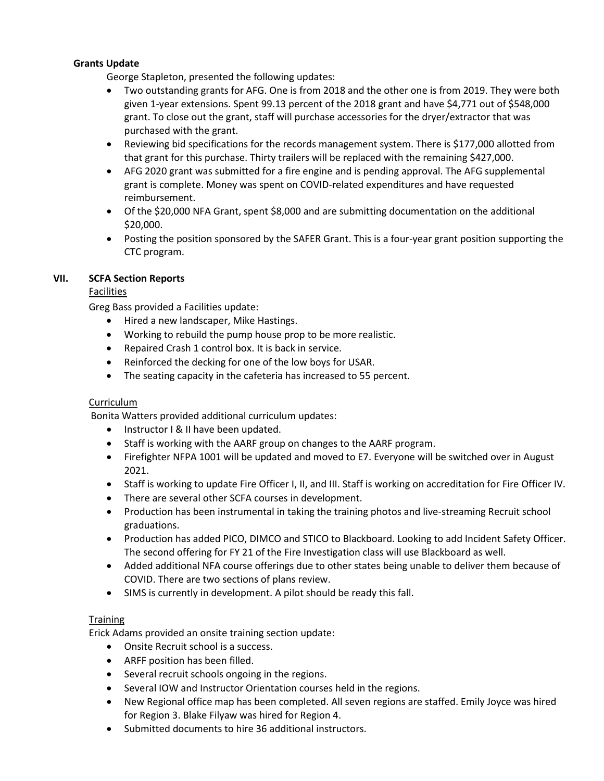## **Grants Update**

George Stapleton, presented the following updates:

- Two outstanding grants for AFG. One is from 2018 and the other one is from 2019. They were both given 1-year extensions. Spent 99.13 percent of the 2018 grant and have \$4,771 out of \$548,000 grant. To close out the grant, staff will purchase accessories for the dryer/extractor that was purchased with the grant.
- Reviewing bid specifications for the records management system. There is \$177,000 allotted from that grant for this purchase. Thirty trailers will be replaced with the remaining \$427,000.
- AFG 2020 grant was submitted for a fire engine and is pending approval. The AFG supplemental grant is complete. Money was spent on COVID-related expenditures and have requested reimbursement.
- Of the \$20,000 NFA Grant, spent \$8,000 and are submitting documentation on the additional \$20,000.
- Posting the position sponsored by the SAFER Grant. This is a four-year grant position supporting the CTC program.

## **VII. SCFA Section Reports**

# **Facilities**

Greg Bass provided a Facilities update:

- Hired a new landscaper, Mike Hastings.
- Working to rebuild the pump house prop to be more realistic.
- Repaired Crash 1 control box. It is back in service.
- Reinforced the decking for one of the low boys for USAR.
- The seating capacity in the cafeteria has increased to 55 percent.

# Curriculum

Bonita Watters provided additional curriculum updates:

- Instructor I & II have been updated.
- Staff is working with the AARF group on changes to the AARF program.
- Firefighter NFPA 1001 will be updated and moved to E7. Everyone will be switched over in August 2021.
- Staff is working to update Fire Officer I, II, and III. Staff is working on accreditation for Fire Officer IV.
- There are several other SCFA courses in development.
- Production has been instrumental in taking the training photos and live-streaming Recruit school graduations.
- Production has added PICO, DIMCO and STICO to Blackboard. Looking to add Incident Safety Officer. The second offering for FY 21 of the Fire Investigation class will use Blackboard as well.
- Added additional NFA course offerings due to other states being unable to deliver them because of COVID. There are two sections of plans review.
- SIMS is currently in development. A pilot should be ready this fall.

## **Training**

Erick Adams provided an onsite training section update:

- Onsite Recruit school is a success.
- ARFF position has been filled.
- Several recruit schools ongoing in the regions.
- Several IOW and Instructor Orientation courses held in the regions.
- New Regional office map has been completed. All seven regions are staffed. Emily Joyce was hired for Region 3. Blake Filyaw was hired for Region 4.
- Submitted documents to hire 36 additional instructors.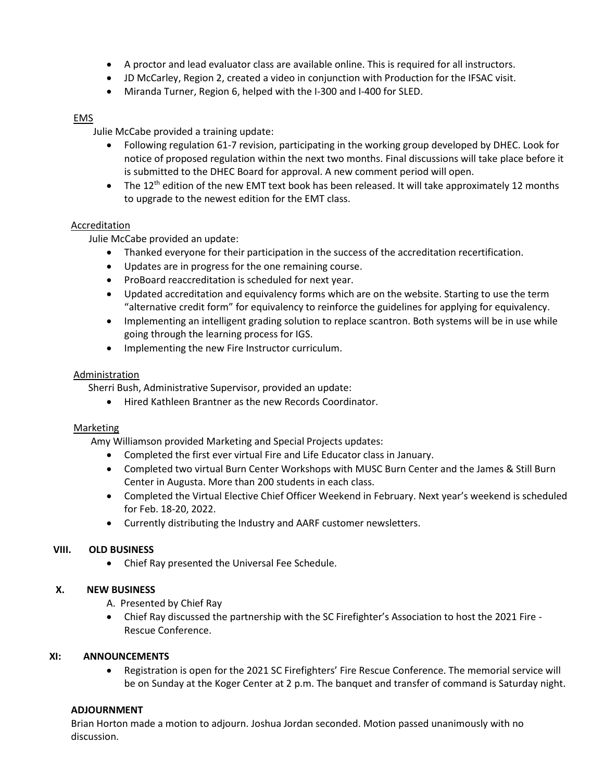- A proctor and lead evaluator class are available online. This is required for all instructors.
- JD McCarley, Region 2, created a video in conjunction with Production for the IFSAC visit.
- Miranda Turner, Region 6, helped with the I-300 and I-400 for SLED.

## EMS

Julie McCabe provided a training update:

- Following regulation 61-7 revision, participating in the working group developed by DHEC. Look for notice of proposed regulation within the next two months. Final discussions will take place before it is submitted to the DHEC Board for approval. A new comment period will open.
- The 12<sup>th</sup> edition of the new EMT text book has been released. It will take approximately 12 months to upgrade to the newest edition for the EMT class.

# Accreditation

Julie McCabe provided an update:

- Thanked everyone for their participation in the success of the accreditation recertification.
- Updates are in progress for the one remaining course.
- ProBoard reaccreditation is scheduled for next year.
- Updated accreditation and equivalency forms which are on the website. Starting to use the term "alternative credit form" for equivalency to reinforce the guidelines for applying for equivalency.
- Implementing an intelligent grading solution to replace scantron. Both systems will be in use while going through the learning process for IGS.
- Implementing the new Fire Instructor curriculum.

## **Administration**

Sherri Bush, Administrative Supervisor, provided an update:

• Hired Kathleen Brantner as the new Records Coordinator.

## Marketing

Amy Williamson provided Marketing and Special Projects updates:

- Completed the first ever virtual Fire and Life Educator class in January.
- Completed two virtual Burn Center Workshops with MUSC Burn Center and the James & Still Burn Center in Augusta. More than 200 students in each class.
- Completed the Virtual Elective Chief Officer Weekend in February. Next year's weekend is scheduled for Feb. 18-20, 2022.
- Currently distributing the Industry and AARF customer newsletters.

# **VIII. OLD BUSINESS**

• Chief Ray presented the Universal Fee Schedule.

## **X. NEW BUSINESS**

- A. Presented by Chief Ray
- Chief Ray discussed the partnership with the SC Firefighter's Association to host the 2021 Fire Rescue Conference.

## **XI: ANNOUNCEMENTS**

• Registration is open for the 2021 SC Firefighters' Fire Rescue Conference. The memorial service will be on Sunday at the Koger Center at 2 p.m. The banquet and transfer of command is Saturday night.

## **ADJOURNMENT**

Brian Horton made a motion to adjourn. Joshua Jordan seconded. Motion passed unanimously with no discussion.